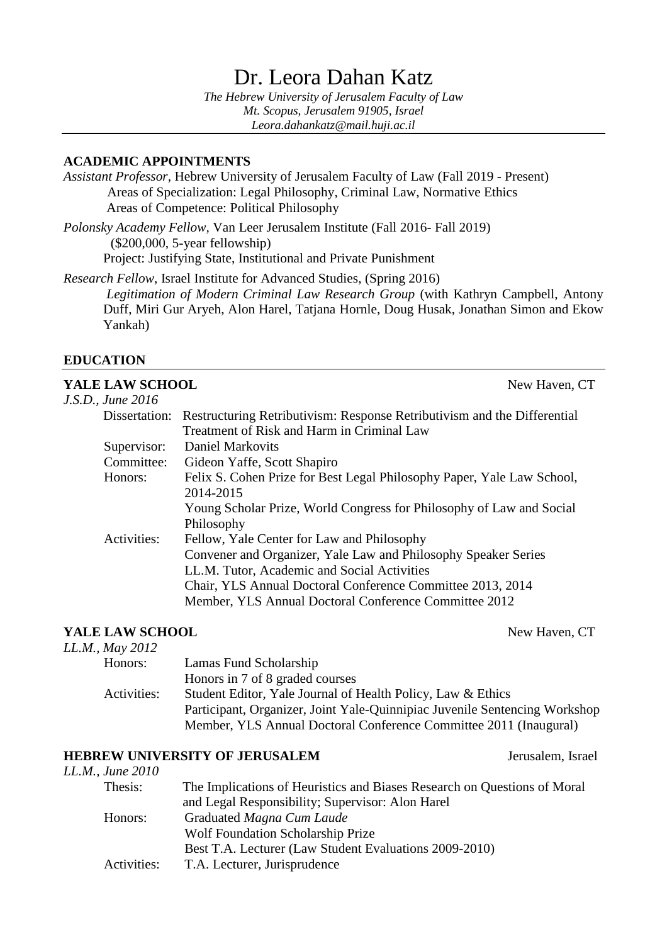# Dr. Leora Dahan Katz

*The Hebrew University of Jerusalem Faculty of Law Mt. Scopus, Jerusalem 91905, Israel Leora.dahankatz@mail.huji.ac.il*

### **ACADEMIC APPOINTMENTS**

*Assistant Professor,* Hebrew University of Jerusalem Faculty of Law (Fall 2019 - Present) Areas of Specialization: Legal Philosophy, Criminal Law, Normative Ethics Areas of Competence: Political Philosophy

*Polonsky Academy Fellow,* Van Leer Jerusalem Institute (Fall 2016- Fall 2019) (\$200,000, 5-year fellowship) Project: Justifying State, Institutional and Private Punishment

*Research Fellow*, Israel Institute for Advanced Studies, (Spring 2016) *Legitimation of Modern Criminal Law Research Group* (with Kathryn Campbell, Antony Duff, Miri Gur Aryeh, Alon Harel, Tatjana Hornle, Doug Husak, Jonathan Simon and Ekow Yankah)

# **EDUCATION**

### **YALE LAW SCHOOL** New Haven, CT

*J.S.D., June 2016* Dissertation: Restructuring Retributivism: Response Retributivism and the Differential Treatment of Risk and Harm in Criminal Law Supervisor: Daniel Markovits Committee: Gideon Yaffe, Scott Shapiro Honors: Felix S. Cohen Prize for Best Legal Philosophy Paper, Yale Law School, 2014-2015 Young Scholar Prize, World Congress for Philosophy of Law and Social Philosophy Activities: Fellow, Yale Center for Law and Philosophy Convener and Organizer, Yale Law and Philosophy Speaker Series LL.M. Tutor, Academic and Social Activities Chair, YLS Annual Doctoral Conference Committee 2013, 2014 Member, YLS Annual Doctoral Conference Committee 2012

### **YALE LAW SCHOOL** New Haven, CT

|                   | $1.0.1$ $1.0.1$                                                            |
|-------------------|----------------------------------------------------------------------------|
| LL.M., May $2012$ |                                                                            |
| Honors:           | Lamas Fund Scholarship                                                     |
|                   | Honors in 7 of 8 graded courses                                            |
| Activities:       | Student Editor, Yale Journal of Health Policy, Law & Ethics                |
|                   | Participant, Organizer, Joint Yale-Quinnipiac Juvenile Sentencing Workshop |
|                   | Member, YLS Annual Doctoral Conference Committee 2011 (Inaugural)          |

#### **HEBREW UNIVERSITY OF JERUSALEM** Jerusalem, Israel

| LL.M., June 2010 |                                                                          |
|------------------|--------------------------------------------------------------------------|
| Thesis:          | The Implications of Heuristics and Biases Research on Questions of Moral |
|                  | and Legal Responsibility; Supervisor: Alon Harel                         |
| Honors:          | Graduated Magna Cum Laude                                                |
|                  | <b>Wolf Foundation Scholarship Prize</b>                                 |
|                  | Best T.A. Lecturer (Law Student Evaluations 2009-2010)                   |
| Activities:      | T.A. Lecturer, Jurisprudence                                             |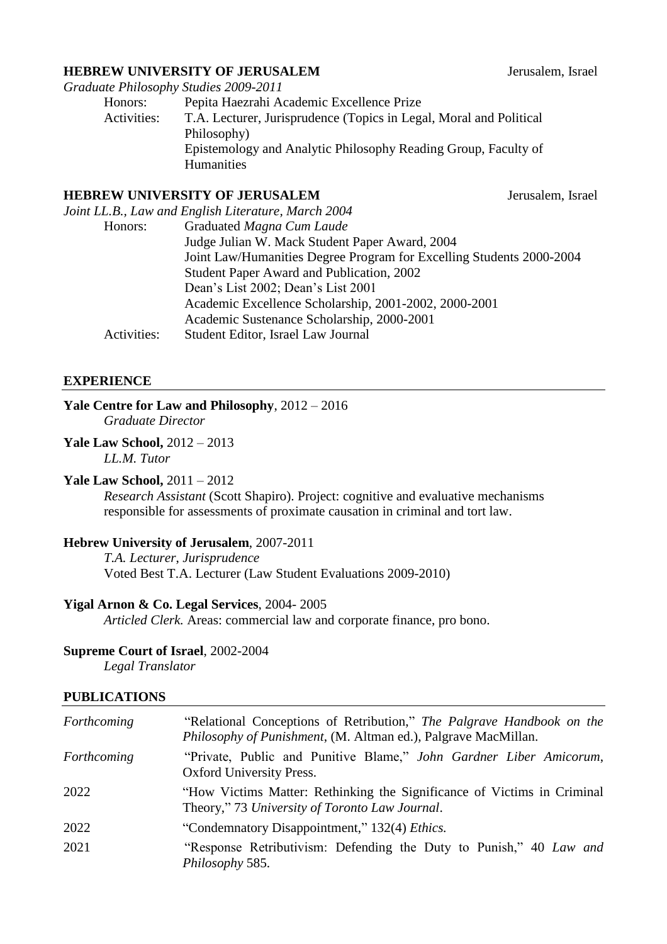### **HEBREW UNIVERSITY OF JERUSALEM** Jerusalem, Israel

|             | Graduate Philosophy Studies 2009-2011                              |
|-------------|--------------------------------------------------------------------|
| Honors:     | Pepita Haezrahi Academic Excellence Prize                          |
| Activities: | T.A. Lecturer, Jurisprudence (Topics in Legal, Moral and Political |
|             | Philosophy)                                                        |
|             | Epistemology and Analytic Philosophy Reading Group, Faculty of     |
|             | <b>Humanities</b>                                                  |
|             |                                                                    |

#### **HEBREW UNIVERSITY OF JERUSALEM** Jerusalem, Israel

|             | Joint LL.B., Law and English Literature, March 2004                  |
|-------------|----------------------------------------------------------------------|
| Honors:     | Graduated Magna Cum Laude                                            |
|             | Judge Julian W. Mack Student Paper Award, 2004                       |
|             | Joint Law/Humanities Degree Program for Excelling Students 2000-2004 |
|             | Student Paper Award and Publication, 2002                            |
|             | Dean's List 2002; Dean's List 2001                                   |
|             | Academic Excellence Scholarship, 2001-2002, 2000-2001                |
|             | Academic Sustenance Scholarship, 2000-2001                           |
| Activities: | Student Editor, Israel Law Journal                                   |
|             |                                                                      |

#### **EXPERIENCE**

### **Yale Centre for Law and Philosophy**, 2012 – 2016

*Graduate Director*

#### **Yale Law School,** 2012 – 2013

*LL.M. Tutor*

# **Yale Law School,** 2011 – 2012

*Research Assistant* (Scott Shapiro). Project: cognitive and evaluative mechanisms responsible for assessments of proximate causation in criminal and tort law.

#### **Hebrew University of Jerusalem**, 2007-2011

*T.A. Lecturer*, *Jurisprudence*  Voted Best T.A. Lecturer (Law Student Evaluations 2009-2010)

#### **Yigal Arnon & Co. Legal Services**, 2004- 2005

*Articled Clerk.* Areas: commercial law and corporate finance, pro bono.

#### **Supreme Court of Israel**, 2002-2004

*Legal Translator*

# **PUBLICATIONS**

| Forthcoming | "Relational Conceptions of Retribution," The Palgrave Handbook on the<br>Philosophy of Punishment, (M. Altman ed.), Palgrave MacMillan. |
|-------------|-----------------------------------------------------------------------------------------------------------------------------------------|
| Forthcoming | "Private, Public and Punitive Blame," John Gardner Liber Amicorum,<br><b>Oxford University Press.</b>                                   |
| 2022        | "How Victims Matter: Rethinking the Significance of Victims in Criminal<br>Theory," 73 University of Toronto Law Journal.               |
| 2022        | "Condemnatory Disappointment," 132(4) Ethics.                                                                                           |
| 2021        | "Response Retributivism: Defending the Duty to Punish," 40 Law and<br>Philosophy 585.                                                   |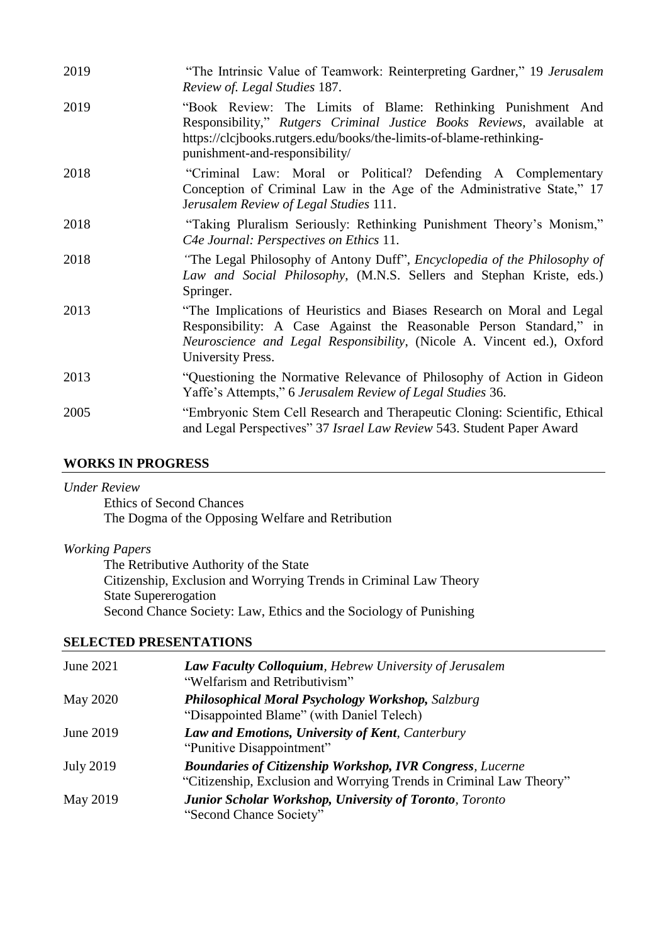| 2019 | "The Intrinsic Value of Teamwork: Reinterpreting Gardner," 19 Jerusalem                                                                                                                                                                        |
|------|------------------------------------------------------------------------------------------------------------------------------------------------------------------------------------------------------------------------------------------------|
|      | Review of. Legal Studies 187.                                                                                                                                                                                                                  |
| 2019 | "Book Review: The Limits of Blame: Rethinking Punishment And<br>Responsibility," Rutgers Criminal Justice Books Reviews, available at<br>https://clcjbooks.rutgers.edu/books/the-limits-of-blame-rethinking-<br>punishment-and-responsibility/ |
| 2018 | "Criminal Law: Moral or Political? Defending A Complementary<br>Conception of Criminal Law in the Age of the Administrative State," 17<br>Jerusalem Review of Legal Studies 111.                                                               |
| 2018 | "Taking Pluralism Seriously: Rethinking Punishment Theory's Monism,"<br>C4e Journal: Perspectives on Ethics 11.                                                                                                                                |
| 2018 | "The Legal Philosophy of Antony Duff", Encyclopedia of the Philosophy of<br>Law and Social Philosophy, (M.N.S. Sellers and Stephan Kriste, eds.)<br>Springer.                                                                                  |
| 2013 | "The Implications of Heuristics and Biases Research on Moral and Legal<br>Responsibility: A Case Against the Reasonable Person Standard," in<br>Neuroscience and Legal Responsibility, (Nicole A. Vincent ed.), Oxford<br>University Press.    |
| 2013 | "Questioning the Normative Relevance of Philosophy of Action in Gideon"<br>Yaffe's Attempts," 6 Jerusalem Review of Legal Studies 36.                                                                                                          |
| 2005 | "Embryonic Stem Cell Research and Therapeutic Cloning: Scientific, Ethical<br>and Legal Perspectives" 37 Israel Law Review 543. Student Paper Award                                                                                            |

### **WORKS IN PROGRESS**

#### *Under Review*

Ethics of Second Chances The Dogma of the Opposing Welfare and Retribution

# *Working Papers*

The Retributive Authority of the State Citizenship, Exclusion and Worrying Trends in Criminal Law Theory State Supererogation Second Chance Society: Law, Ethics and the Sociology of Punishing

# **SELECTED PRESENTATIONS**

| June 2021        | Law Faculty Colloquium, Hebrew University of Jerusalem<br>"Welfarism and Retributivism"                                                 |
|------------------|-----------------------------------------------------------------------------------------------------------------------------------------|
| <b>May 2020</b>  | <b>Philosophical Moral Psychology Workshop, Salzburg</b><br>"Disappointed Blame" (with Daniel Telech)                                   |
| June 2019        | Law and Emotions, University of Kent, Canterbury<br>"Punitive Disappointment"                                                           |
| <b>July 2019</b> | <b>Boundaries of Citizenship Workshop, IVR Congress, Lucerne</b><br>"Citizenship, Exclusion and Worrying Trends in Criminal Law Theory" |
| May 2019         | <b>Junior Scholar Workshop, University of Toronto, Toronto</b><br>"Second Chance Society"                                               |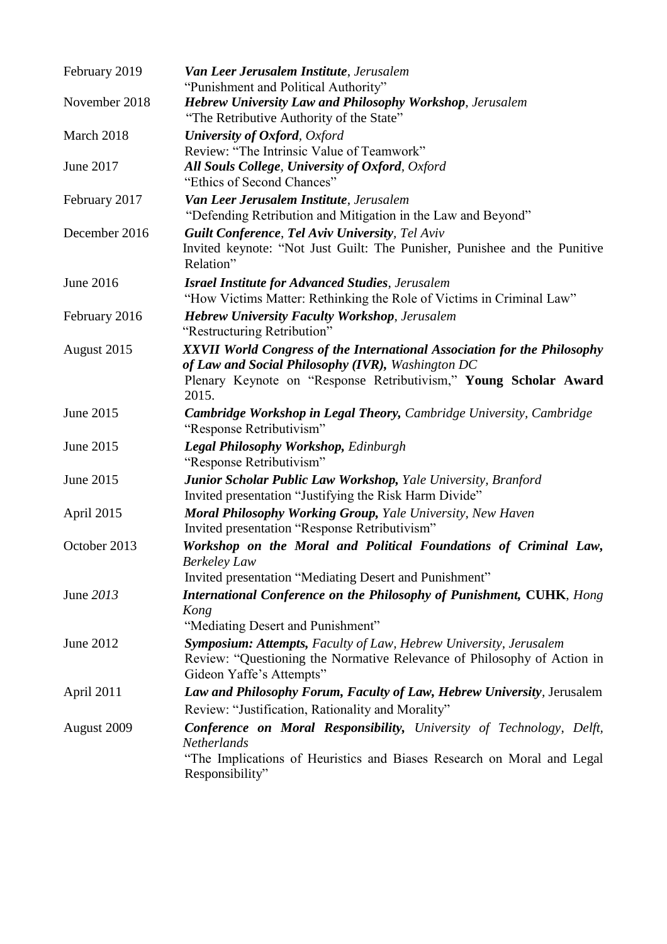| February 2019 | Van Leer Jerusalem Institute, Jerusalem<br>"Punishment and Political Authority"                                                                                                                            |
|---------------|------------------------------------------------------------------------------------------------------------------------------------------------------------------------------------------------------------|
| November 2018 | <b>Hebrew University Law and Philosophy Workshop</b> , Jerusalem<br>"The Retributive Authority of the State"                                                                                               |
| March 2018    | <b>University of Oxford</b> , Oxford                                                                                                                                                                       |
|               | Review: "The Intrinsic Value of Teamwork"                                                                                                                                                                  |
| June 2017     | All Souls College, University of Oxford, Oxford<br>"Ethics of Second Chances"                                                                                                                              |
| February 2017 | Van Leer Jerusalem Institute, Jerusalem<br>"Defending Retribution and Mitigation in the Law and Beyond"                                                                                                    |
| December 2016 | <b>Guilt Conference, Tel Aviv University, Tel Aviv</b><br>Invited keynote: "Not Just Guilt: The Punisher, Punishee and the Punitive<br>Relation"                                                           |
| June 2016     | <b>Israel Institute for Advanced Studies</b> , Jerusalem<br>"How Victims Matter: Rethinking the Role of Victims in Criminal Law"                                                                           |
| February 2016 | <b>Hebrew University Faculty Workshop</b> , Jerusalem<br>"Restructuring Retribution"                                                                                                                       |
| August 2015   | XXVII World Congress of the International Association for the Philosophy<br>of Law and Social Philosophy (IVR), Washington DC<br>Plenary Keynote on "Response Retributivism," Young Scholar Award<br>2015. |
| June 2015     | <b>Cambridge Workshop in Legal Theory, Cambridge University, Cambridge</b><br>"Response Retributivism"                                                                                                     |
| June 2015     | Legal Philosophy Workshop, Edinburgh<br>"Response Retributivism"                                                                                                                                           |
| June 2015     | Junior Scholar Public Law Workshop, Yale University, Branford<br>Invited presentation "Justifying the Risk Harm Divide"                                                                                    |
| April 2015    | <b>Moral Philosophy Working Group, Yale University, New Haven</b><br>Invited presentation "Response Retributivism"                                                                                         |
| October 2013  | Workshop on the Moral and Political Foundations of Criminal Law,<br><b>Berkeley Law</b><br>Invited presentation "Mediating Desert and Punishment"                                                          |
| June 2013     | International Conference on the Philosophy of Punishment, CUHK, Hong<br>Kong<br>"Mediating Desert and Punishment"                                                                                          |
| June 2012     | Symposium: Attempts, Faculty of Law, Hebrew University, Jerusalem<br>Review: "Questioning the Normative Relevance of Philosophy of Action in<br>Gideon Yaffe's Attempts"                                   |
| April 2011    | Law and Philosophy Forum, Faculty of Law, Hebrew University, Jerusalem                                                                                                                                     |
|               | Review: "Justification, Rationality and Morality"                                                                                                                                                          |
| August 2009   | <b>Conference on Moral Responsibility, University of Technology, Delft,</b><br>Netherlands<br>"The Implications of Heuristics and Biases Research on Moral and Legal<br>Responsibility"                    |